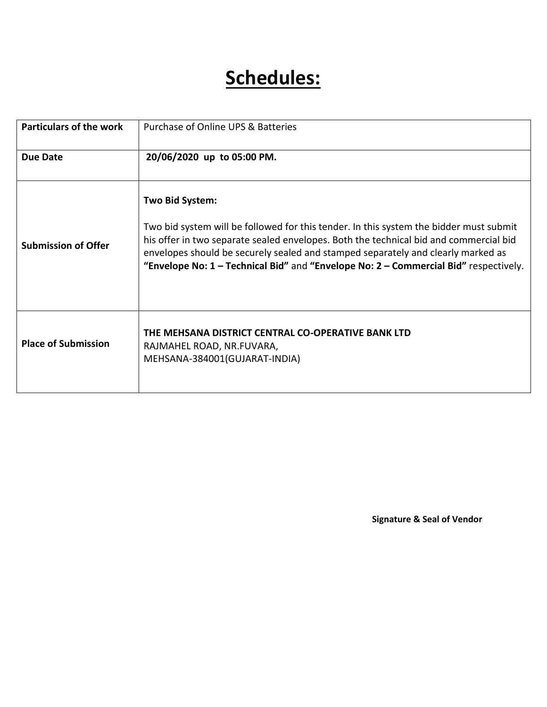# **Schedules:**

| <b>Particulars of the work</b> | Purchase of Online UPS & Batteries                                                                                                                                                                                                                                                                                                                                             |
|--------------------------------|--------------------------------------------------------------------------------------------------------------------------------------------------------------------------------------------------------------------------------------------------------------------------------------------------------------------------------------------------------------------------------|
| <b>Due Date</b>                | 20/06/2020 up to 05:00 PM.                                                                                                                                                                                                                                                                                                                                                     |
| <b>Submission of Offer</b>     | Two Bid System:<br>Two bid system will be followed for this tender. In this system the bidder must submit<br>his offer in two separate sealed envelopes. Both the technical bid and commercial bid<br>envelopes should be securely sealed and stamped separately and clearly marked as<br>"Envelope No: 1 - Technical Bid" and "Envelope No: 2 - Commercial Bid" respectively. |
| <b>Place of Submission</b>     | THE MEHSANA DISTRICT CENTRAL CO-OPERATIVE BANK LTD<br>RAJMAHEL ROAD, NR.FUVARA,<br>MEHSANA-384001(GUJARAT-INDIA)                                                                                                                                                                                                                                                               |

**Signature & Seal of Vendor**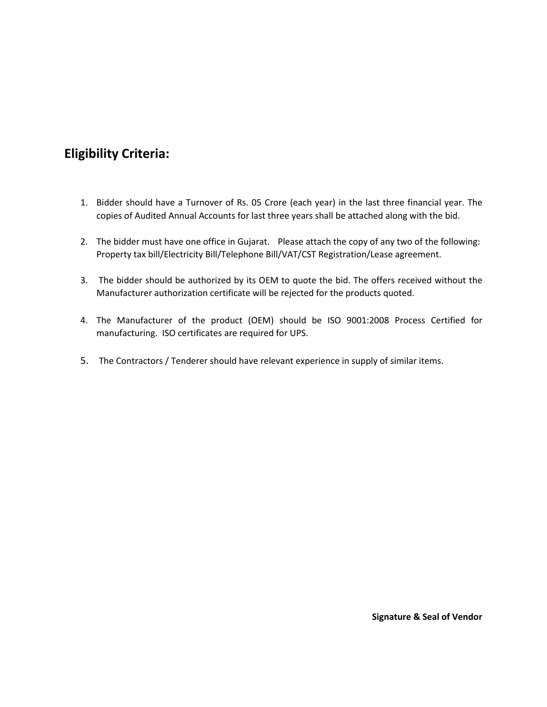### **Eligibility Criteria:**

- 1. Bidder should have a Turnover of Rs. 05 Crore (each year) in the last three financial year. The copies of Audited Annual Accounts for last three years shall be attached along with the bid.
- 2. The bidder must have one office in Gujarat. Please attach the copy of any two of the following: Property tax bill/Electricity Bill/Telephone Bill/VAT/CST Registration/Lease agreement.
- 3. The bidder should be authorized by its OEM to quote the bid. The offers received without the Manufacturer authorization certificate will be rejected for the products quoted.
- 4. The Manufacturer of the product (OEM) should be ISO 9001:2008 Process Certified for manufacturing. ISO certificates are required for UPS.
- 5. The Contractors / Tenderer should have relevant experience in supply of similar items.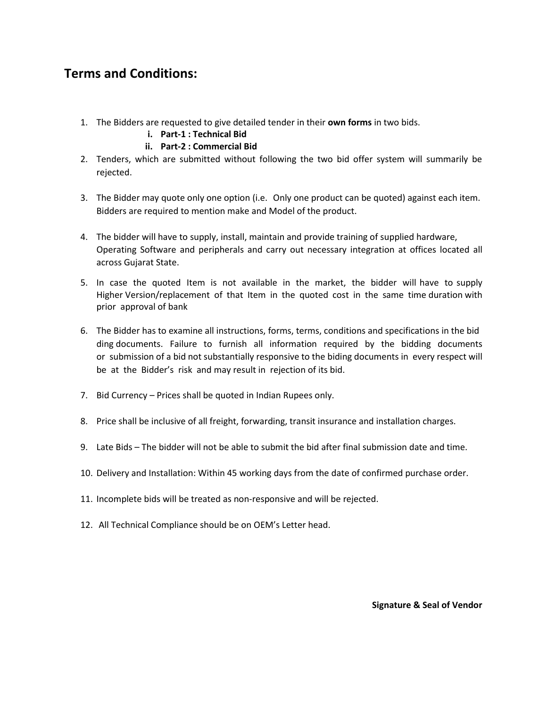### **Terms and Conditions:**

- 1. The Bidders are requested to give detailed tender in their **own forms** in two bids.
	- **i. Part-1 : Technical Bid**

#### **ii. Part-2 : Commercial Bid**

- 2. Tenders, which are submitted without following the two bid offer system will summarily be rejected.
- 3. The Bidder may quote only one option (i.e. Only one product can be quoted) against each item. Bidders are required to mention make and Model of the product.
- 4. The bidder will have to supply, install, maintain and provide training of supplied hardware, Operating Software and peripherals and carry out necessary integration at offices located all across Gujarat State.
- 5. In case the quoted Item is not available in the market, the bidder will have to supply Higher Version/replacement of that Item in the quoted cost in the same time duration with prior approval of bank
- 6. The Bidder has to examine all instructions, forms, terms, conditions and specifications in the bid ding documents. Failure to furnish all information required by the bidding documents or submission of a bid not substantially responsive to the biding documents in every respect will be at the Bidder's risk and may result in rejection of its bid.
- 7. Bid Currency Prices shall be quoted in Indian Rupees only.
- 8. Price shall be inclusive of all freight, forwarding, transit insurance and installation charges.
- 9. Late Bids The bidder will not be able to submit the bid after final submission date and time.
- 10. Delivery and Installation: Within 45 working days from the date of confirmed purchase order.
- 11. Incomplete bids will be treated as non-responsive and will be rejected.
- 12. All Technical Compliance should be on OEM's Letter head.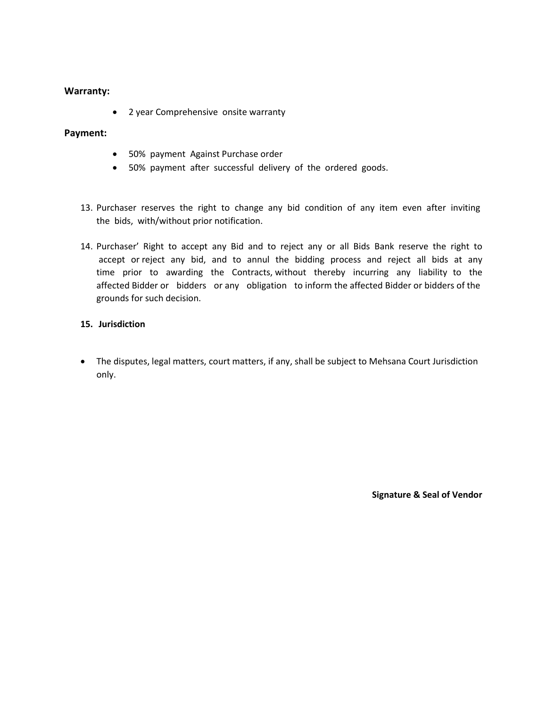#### **Warranty:**

• 2 year Comprehensive onsite warranty

#### **Payment:**

- 50% payment Against Purchase order
- 50% payment after successful delivery of the ordered goods.
- 13. Purchaser reserves the right to change any bid condition of any item even after inviting the bids, with/without prior notification.
- 14. Purchaser' Right to accept any Bid and to reject any or all Bids Bank reserve the right to accept or reject any bid, and to annul the bidding process and reject all bids at any time prior to awarding the Contracts, without thereby incurring any liability to the affected Bidder or bidders or any obligation to inform the affected Bidder or bidders of the grounds for such decision.

#### **15. Jurisdiction**

 The disputes, legal matters, court matters, if any, shall be subject to Mehsana Court Jurisdiction only.

**Signature & Seal of Vendor**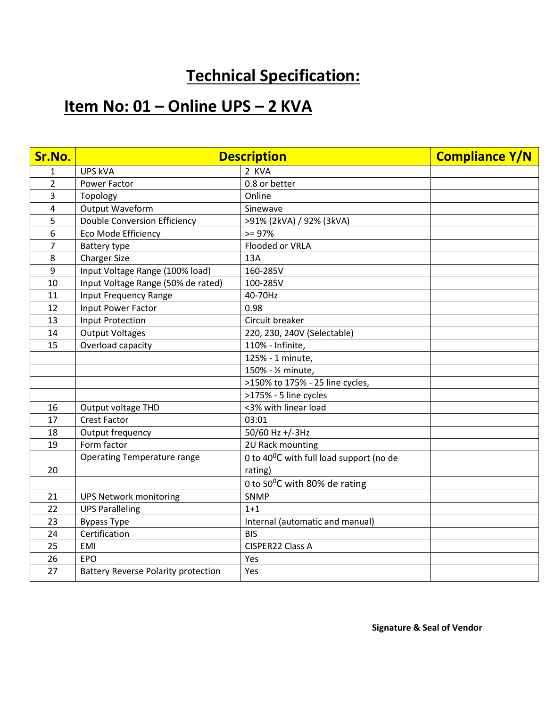## **Technical Specification:**

## **Item No: 01 – Online UPS – 2 KVA**

| Sr.No.         | <b>Description</b>                         |                                         | <b>Compliance Y/N</b> |
|----------------|--------------------------------------------|-----------------------------------------|-----------------------|
| $\mathbf{1}$   | <b>UPS kVA</b>                             | 2 KVA                                   |                       |
| $\overline{2}$ | Power Factor                               | 0.8 or better                           |                       |
| 3              | Topology                                   | Online                                  |                       |
| 4              | Output Waveform                            | Sinewave                                |                       |
| 5              | <b>Double Conversion Efficiency</b>        | >91% (2kVA) / 92% (3kVA)                |                       |
| 6              | Eco Mode Efficiency                        | $>= 97%$                                |                       |
| 7              | <b>Battery type</b>                        | Flooded or VRLA                         |                       |
| 8              | <b>Charger Size</b>                        | 13A                                     |                       |
| 9              | Input Voltage Range (100% load)            | 160-285V                                |                       |
| 10             | Input Voltage Range (50% de rated)         | 100-285V                                |                       |
| 11             | Input Frequency Range                      | 40-70Hz                                 |                       |
| 12             | Input Power Factor                         | 0.98                                    |                       |
| 13             | Input Protection                           | Circuit breaker                         |                       |
| 14             | <b>Output Voltages</b>                     | 220, 230, 240V (Selectable)             |                       |
| 15             | Overload capacity                          | 110% - Infinite,                        |                       |
|                |                                            | 125% - 1 minute,                        |                       |
|                |                                            | 150% - 1/2 minute,                      |                       |
|                |                                            | >150% to 175% - 25 line cycles,         |                       |
|                |                                            | >175% - 5 line cycles                   |                       |
| 16             | Output voltage THD                         | <3% with linear load                    |                       |
| 17             | <b>Crest Factor</b>                        | 03:01                                   |                       |
| 18             | Output frequency                           | 50/60 Hz +/-3Hz                         |                       |
| 19             | Form factor                                | 2U Rack mounting                        |                       |
|                | <b>Operating Temperature range</b>         | 0 to 40°C with full load support (no de |                       |
| 20             |                                            | rating)                                 |                       |
|                |                                            | 0 to 50°C with 80% de rating            |                       |
| 21             | <b>UPS Network monitoring</b>              | SNMP                                    |                       |
| 22             | <b>UPS Paralleling</b>                     | $1 + 1$                                 |                       |
| 23             | <b>Bypass Type</b>                         | Internal (automatic and manual)         |                       |
| 24             | Certification                              | <b>BIS</b>                              |                       |
| 25             | <b>EMI</b>                                 | CISPER22 Class A                        |                       |
| 26             | EPO                                        | Yes                                     |                       |
| 27             | <b>Battery Reverse Polarity protection</b> | Yes                                     |                       |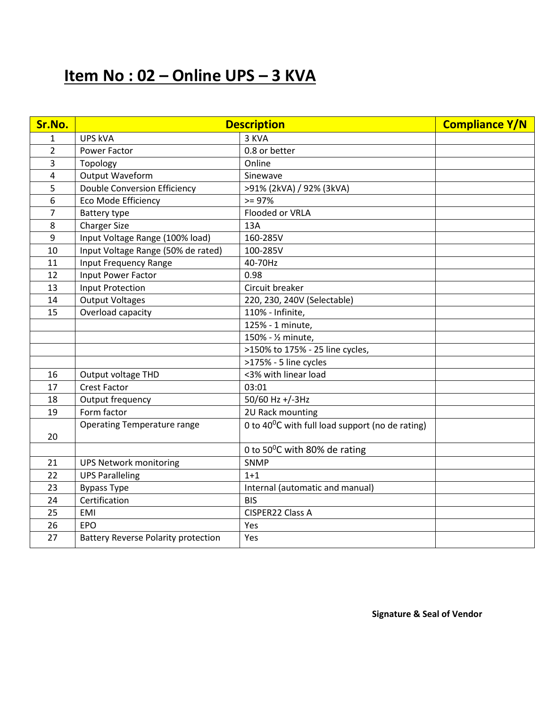## **Item No : 02 – Online UPS – 3 KVA**

| Sr.No.         | <b>Description</b>                         |                                                      | <b>Compliance Y/N</b> |
|----------------|--------------------------------------------|------------------------------------------------------|-----------------------|
| $\mathbf{1}$   | <b>UPS kVA</b>                             | 3 KVA                                                |                       |
| $\overline{2}$ | Power Factor                               | 0.8 or better                                        |                       |
| 3              | Topology                                   | Online                                               |                       |
| 4              | Output Waveform                            | Sinewave                                             |                       |
| 5              | <b>Double Conversion Efficiency</b>        | >91% (2kVA) / 92% (3kVA)                             |                       |
| 6              | Eco Mode Efficiency                        | $>= 97%$                                             |                       |
| $\overline{7}$ | Battery type                               | Flooded or VRLA                                      |                       |
| 8              | <b>Charger Size</b>                        | 13A                                                  |                       |
| 9              | Input Voltage Range (100% load)            | 160-285V                                             |                       |
| 10             | Input Voltage Range (50% de rated)         | 100-285V                                             |                       |
| 11             | <b>Input Frequency Range</b>               | 40-70Hz                                              |                       |
| 12             | Input Power Factor                         | 0.98                                                 |                       |
| 13             | <b>Input Protection</b>                    | Circuit breaker                                      |                       |
| 14             | <b>Output Voltages</b>                     | 220, 230, 240V (Selectable)                          |                       |
| 15             | Overload capacity                          | 110% - Infinite,                                     |                       |
|                |                                            | 125% - 1 minute,                                     |                       |
|                |                                            | 150% - 1/2 minute,                                   |                       |
|                |                                            | >150% to 175% - 25 line cycles,                      |                       |
|                |                                            | >175% - 5 line cycles                                |                       |
| 16             | Output voltage THD                         | <3% with linear load                                 |                       |
| 17             | <b>Crest Factor</b>                        | 03:01                                                |                       |
| 18             | Output frequency                           | 50/60 Hz +/-3Hz                                      |                       |
| 19             | Form factor                                | 2U Rack mounting                                     |                       |
|                | <b>Operating Temperature range</b>         | 0 to 40 $^0$ C with full load support (no de rating) |                       |
| 20             |                                            |                                                      |                       |
|                |                                            | 0 to 50°C with 80% de rating                         |                       |
| 21             | <b>UPS Network monitoring</b>              | SNMP                                                 |                       |
| 22             | <b>UPS Paralleling</b>                     | $1 + 1$                                              |                       |
| 23             | <b>Bypass Type</b>                         | Internal (automatic and manual)                      |                       |
| 24             | Certification                              | <b>BIS</b>                                           |                       |
| 25             | EMI                                        | CISPER22 Class A                                     |                       |
| 26             | <b>EPO</b>                                 | Yes                                                  |                       |
| 27             | <b>Battery Reverse Polarity protection</b> | Yes                                                  |                       |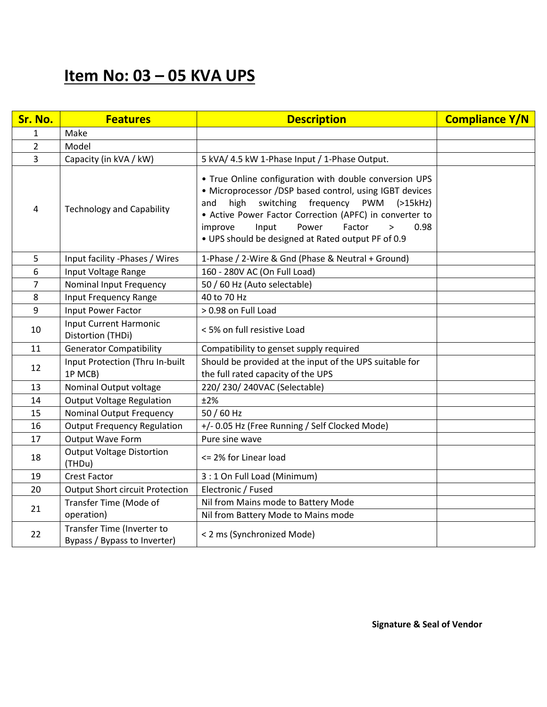### **Item No: 03 – 05 KVA UPS**

| Sr. No.        | <b>Features</b>                                            | <b>Description</b>                                                                                                                                                                                                                                                                                                                                            | <b>Compliance Y/N</b> |
|----------------|------------------------------------------------------------|---------------------------------------------------------------------------------------------------------------------------------------------------------------------------------------------------------------------------------------------------------------------------------------------------------------------------------------------------------------|-----------------------|
| $\mathbf{1}$   | Make                                                       |                                                                                                                                                                                                                                                                                                                                                               |                       |
| $\overline{2}$ | Model                                                      |                                                                                                                                                                                                                                                                                                                                                               |                       |
| $\overline{3}$ | Capacity (in kVA / kW)                                     | 5 kVA/ 4.5 kW 1-Phase Input / 1-Phase Output.                                                                                                                                                                                                                                                                                                                 |                       |
| 4              | <b>Technology and Capability</b>                           | . True Online configuration with double conversion UPS<br>• Microprocessor /DSP based control, using IGBT devices<br>switching<br>frequency<br><b>PWM</b><br>high<br>(>15kHz)<br>and<br>• Active Power Factor Correction (APFC) in converter to<br>Input<br>Power<br>Factor<br>improve<br>0.98<br>$\,>$<br>. UPS should be designed at Rated output PF of 0.9 |                       |
| 5              | Input facility -Phases / Wires                             | 1-Phase / 2-Wire & Gnd (Phase & Neutral + Ground)                                                                                                                                                                                                                                                                                                             |                       |
| 6              | Input Voltage Range                                        | 160 - 280V AC (On Full Load)                                                                                                                                                                                                                                                                                                                                  |                       |
| $\overline{7}$ | Nominal Input Frequency                                    | 50 / 60 Hz (Auto selectable)                                                                                                                                                                                                                                                                                                                                  |                       |
| 8              | <b>Input Frequency Range</b>                               | 40 to 70 Hz                                                                                                                                                                                                                                                                                                                                                   |                       |
| 9              | Input Power Factor                                         | > 0.98 on Full Load                                                                                                                                                                                                                                                                                                                                           |                       |
| 10             | <b>Input Current Harmonic</b><br>Distortion (THDi)         | < 5% on full resistive Load                                                                                                                                                                                                                                                                                                                                   |                       |
| 11             | <b>Generator Compatibility</b>                             | Compatibility to genset supply required                                                                                                                                                                                                                                                                                                                       |                       |
| 12             | Input Protection (Thru In-built<br>1P MCB)                 | Should be provided at the input of the UPS suitable for<br>the full rated capacity of the UPS                                                                                                                                                                                                                                                                 |                       |
| 13             | Nominal Output voltage                                     | 220/230/240VAC (Selectable)                                                                                                                                                                                                                                                                                                                                   |                       |
| 14             | <b>Output Voltage Regulation</b>                           | ±2%                                                                                                                                                                                                                                                                                                                                                           |                       |
| 15             | <b>Nominal Output Frequency</b>                            | 50 / 60 Hz                                                                                                                                                                                                                                                                                                                                                    |                       |
| 16             | <b>Output Frequency Regulation</b>                         | +/- 0.05 Hz (Free Running / Self Clocked Mode)                                                                                                                                                                                                                                                                                                                |                       |
| 17             | Output Wave Form                                           | Pure sine wave                                                                                                                                                                                                                                                                                                                                                |                       |
| 18             | <b>Output Voltage Distortion</b><br>(THDu)                 | <= 2% for Linear load                                                                                                                                                                                                                                                                                                                                         |                       |
| 19             | <b>Crest Factor</b>                                        | 3 : 1 On Full Load (Minimum)                                                                                                                                                                                                                                                                                                                                  |                       |
| 20             | <b>Output Short circuit Protection</b>                     | Electronic / Fused                                                                                                                                                                                                                                                                                                                                            |                       |
| 21             | Transfer Time (Mode of<br>operation)                       | Nil from Mains mode to Battery Mode<br>Nil from Battery Mode to Mains mode                                                                                                                                                                                                                                                                                    |                       |
| 22             | Transfer Time (Inverter to<br>Bypass / Bypass to Inverter) | < 2 ms (Synchronized Mode)                                                                                                                                                                                                                                                                                                                                    |                       |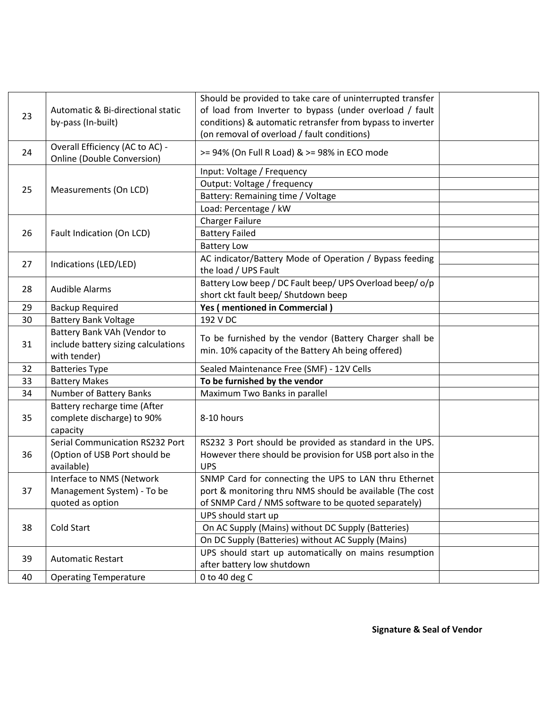|    |                                     | Should be provided to take care of uninterrupted transfer  |  |
|----|-------------------------------------|------------------------------------------------------------|--|
| 23 | Automatic & Bi-directional static   | of load from Inverter to bypass (under overload / fault    |  |
|    | by-pass (In-built)                  | conditions) & automatic retransfer from bypass to inverter |  |
|    |                                     | (on removal of overload / fault conditions)                |  |
| 24 | Overall Efficiency (AC to AC) -     | >= 94% (On Full R Load) & >= 98% in ECO mode               |  |
|    | <b>Online (Double Conversion)</b>   |                                                            |  |
|    | Measurements (On LCD)               | Input: Voltage / Frequency                                 |  |
| 25 |                                     | Output: Voltage / frequency                                |  |
|    |                                     | Battery: Remaining time / Voltage                          |  |
|    |                                     | Load: Percentage / kW                                      |  |
|    | Fault Indication (On LCD)           | <b>Charger Failure</b>                                     |  |
| 26 |                                     | <b>Battery Failed</b>                                      |  |
|    |                                     | <b>Battery Low</b>                                         |  |
| 27 | Indications (LED/LED)               | AC indicator/Battery Mode of Operation / Bypass feeding    |  |
|    |                                     | the load / UPS Fault                                       |  |
| 28 | <b>Audible Alarms</b>               | Battery Low beep / DC Fault beep/ UPS Overload beep/ o/p   |  |
|    |                                     | short ckt fault beep/ Shutdown beep                        |  |
| 29 | <b>Backup Required</b>              | Yes (mentioned in Commercial)                              |  |
| 30 | <b>Battery Bank Voltage</b>         | 192 V DC                                                   |  |
|    | Battery Bank VAh (Vendor to         | To be furnished by the vendor (Battery Charger shall be    |  |
| 31 | include battery sizing calculations | min. 10% capacity of the Battery Ah being offered)         |  |
|    | with tender)                        |                                                            |  |
| 32 | <b>Batteries Type</b>               | Sealed Maintenance Free (SMF) - 12V Cells                  |  |
| 33 | <b>Battery Makes</b>                | To be furnished by the vendor                              |  |
| 34 | Number of Battery Banks             | Maximum Two Banks in parallel                              |  |
|    | Battery recharge time (After        |                                                            |  |
| 35 | complete discharge) to 90%          | 8-10 hours                                                 |  |
|    | capacity                            |                                                            |  |
|    | Serial Communication RS232 Port     | RS232 3 Port should be provided as standard in the UPS.    |  |
| 36 | (Option of USB Port should be       | However there should be provision for USB port also in the |  |
|    | available)                          | <b>UPS</b>                                                 |  |
|    | Interface to NMS (Network           | SNMP Card for connecting the UPS to LAN thru Ethernet      |  |
| 37 | Management System) - To be          | port & monitoring thru NMS should be available (The cost   |  |
|    | quoted as option                    | of SNMP Card / NMS software to be quoted separately)       |  |
| 38 |                                     | UPS should start up                                        |  |
|    | Cold Start                          | On AC Supply (Mains) without DC Supply (Batteries)         |  |
|    |                                     | On DC Supply (Batteries) without AC Supply (Mains)         |  |
| 39 | <b>Automatic Restart</b>            | UPS should start up automatically on mains resumption      |  |
|    |                                     | after battery low shutdown                                 |  |
| 40 | <b>Operating Temperature</b>        | 0 to 40 deg $C$                                            |  |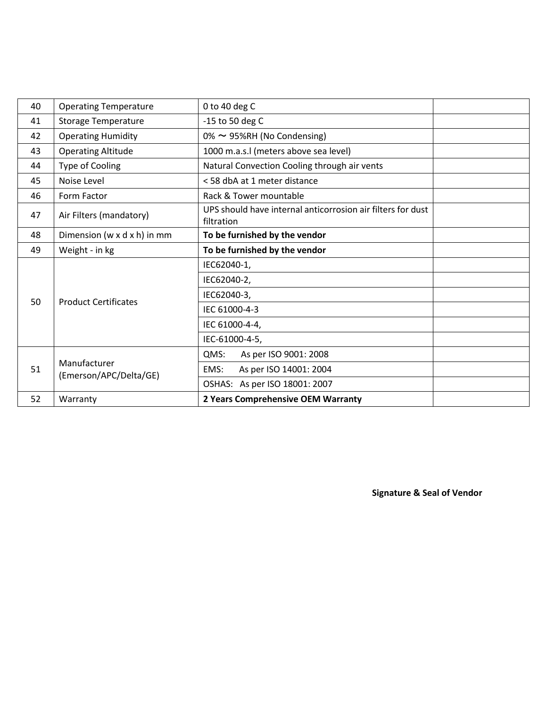| 40 | <b>Operating Temperature</b>              | 0 to 40 deg C                                                             |  |  |
|----|-------------------------------------------|---------------------------------------------------------------------------|--|--|
| 41 | <b>Storage Temperature</b>                | -15 to 50 deg C                                                           |  |  |
| 42 | <b>Operating Humidity</b>                 | $0\% \sim 95\%$ RH (No Condensing)                                        |  |  |
| 43 | <b>Operating Altitude</b>                 | 1000 m.a.s.l (meters above sea level)                                     |  |  |
| 44 | Type of Cooling                           | Natural Convection Cooling through air vents                              |  |  |
| 45 | Noise Level                               | < 58 dbA at 1 meter distance                                              |  |  |
| 46 | Form Factor                               | Rack & Tower mountable                                                    |  |  |
| 47 | Air Filters (mandatory)                   | UPS should have internal anticorrosion air filters for dust<br>filtration |  |  |
| 48 | Dimension ( $w \times d \times h$ ) in mm | To be furnished by the vendor                                             |  |  |
| 49 | Weight - in kg                            | To be furnished by the vendor                                             |  |  |
|    | <b>Product Certificates</b>               | IEC62040-1,                                                               |  |  |
|    |                                           | IEC62040-2,                                                               |  |  |
|    |                                           | IEC62040-3,                                                               |  |  |
| 50 |                                           | IEC 61000-4-3                                                             |  |  |
|    |                                           | IEC 61000-4-4,                                                            |  |  |
|    |                                           | IEC-61000-4-5,                                                            |  |  |
| 51 | Manufacturer<br>(Emerson/APC/Delta/GE)    | QMS:<br>As per ISO 9001: 2008                                             |  |  |
|    |                                           | As per ISO 14001: 2004<br>EMS:                                            |  |  |
|    |                                           | OSHAS: As per ISO 18001: 2007                                             |  |  |
| 52 | Warranty                                  | 2 Years Comprehensive OEM Warranty                                        |  |  |

**Signature & Seal of Vendor**